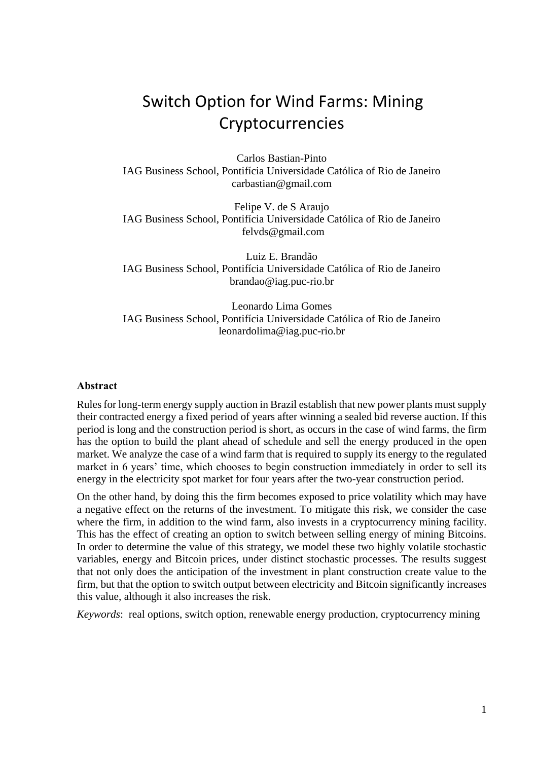# Switch Option for Wind Farms: Mining Cryptocurrencies

Carlos Bastian-Pinto IAG Business School, Pontifícia Universidade Católica of Rio de Janeiro carbastian@gmail.com

Felipe V. de S Araujo IAG Business School, Pontifícia Universidade Católica of Rio de Janeiro [felvds@gmail.com](mailto:rafael.igrejas@iag.puc-rio.br)

Luiz E. Brandão IAG Business School, Pontifícia Universidade Católica of Rio de Janeiro brandao@iag.puc-rio.br

Leonardo Lima Gomes IAG Business School, Pontifícia Universidade Católica of Rio de Janeiro leonardolima@iag.puc-rio.br

#### **Abstract**

Rules for long-term energy supply auction in Brazil establish that new power plants must supply their contracted energy a fixed period of years after winning a sealed bid reverse auction. If this period is long and the construction period is short, as occurs in the case of wind farms, the firm has the option to build the plant ahead of schedule and sell the energy produced in the open market. We analyze the case of a wind farm that is required to supply its energy to the regulated market in 6 years' time, which chooses to begin construction immediately in order to sell its energy in the electricity spot market for four years after the two-year construction period.

On the other hand, by doing this the firm becomes exposed to price volatility which may have a negative effect on the returns of the investment. To mitigate this risk, we consider the case where the firm, in addition to the wind farm, also invests in a cryptocurrency mining facility. This has the effect of creating an option to switch between selling energy of mining Bitcoins. In order to determine the value of this strategy, we model these two highly volatile stochastic variables, energy and Bitcoin prices, under distinct stochastic processes. The results suggest that not only does the anticipation of the investment in plant construction create value to the firm, but that the option to switch output between electricity and Bitcoin significantly increases this value, although it also increases the risk.

*Keywords*: real options, switch option, renewable energy production, cryptocurrency mining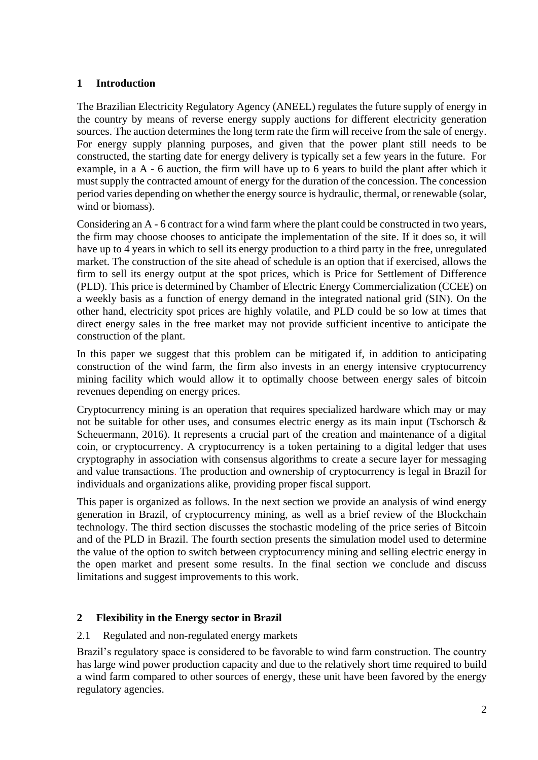## **1 Introduction**

The Brazilian Electricity Regulatory Agency (ANEEL) regulates the future supply of energy in the country by means of reverse energy supply auctions for different electricity generation sources. The auction determines the long term rate the firm will receive from the sale of energy. For energy supply planning purposes, and given that the power plant still needs to be constructed, the starting date for energy delivery is typically set a few years in the future. For example, in a A - 6 auction, the firm will have up to 6 years to build the plant after which it must supply the contracted amount of energy for the duration of the concession. The concession period varies depending on whether the energy source is hydraulic, thermal, or renewable (solar, wind or biomass).

Considering an A - 6 contract for a wind farm where the plant could be constructed in two years, the firm may choose chooses to anticipate the implementation of the site. If it does so, it will have up to 4 years in which to sell its energy production to a third party in the free, unregulated market. The construction of the site ahead of schedule is an option that if exercised, allows the firm to sell its energy output at the spot prices, which is Price for Settlement of Difference (PLD). This price is determined by Chamber of Electric Energy Commercialization (CCEE) on a weekly basis as a function of energy demand in the integrated national grid (SIN). On the other hand, electricity spot prices are highly volatile, and PLD could be so low at times that direct energy sales in the free market may not provide sufficient incentive to anticipate the construction of the plant.

In this paper we suggest that this problem can be mitigated if, in addition to anticipating construction of the wind farm, the firm also invests in an energy intensive cryptocurrency mining facility which would allow it to optimally choose between energy sales of bitcoin revenues depending on energy prices.

Cryptocurrency mining is an operation that requires specialized hardware which may or may not be suitable for other uses, and consumes electric energy as its main input (Tschorsch & Scheuermann, 2016). It represents a crucial part of the creation and maintenance of a digital coin, or cryptocurrency. A cryptocurrency is a token pertaining to a digital ledger that uses cryptography in association with consensus algorithms to create a secure layer for messaging and value transactions. The production and ownership of cryptocurrency is legal in Brazil for individuals and organizations alike, providing proper fiscal support.

This paper is organized as follows. In the next section we provide an analysis of wind energy generation in Brazil, of cryptocurrency mining, as well as a brief review of the Blockchain technology. The third section discusses the stochastic modeling of the price series of Bitcoin and of the PLD in Brazil. The fourth section presents the simulation model used to determine the value of the option to switch between cryptocurrency mining and selling electric energy in the open market and present some results. In the final section we conclude and discuss limitations and suggest improvements to this work.

# **2 Flexibility in the Energy sector in Brazil**

### 2.1 Regulated and non-regulated energy markets

Brazil's regulatory space is considered to be favorable to wind farm construction. The country has large wind power production capacity and due to the relatively short time required to build a wind farm compared to other sources of energy, these unit have been favored by the energy regulatory agencies.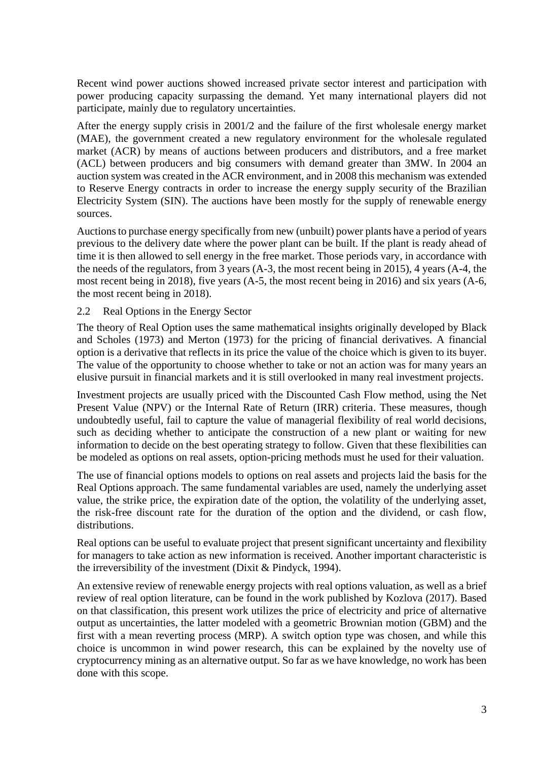Recent wind power auctions showed increased private sector interest and participation with power producing capacity surpassing the demand. Yet many international players did not participate, mainly due to regulatory uncertainties.

After the energy supply crisis in 2001/2 and the failure of the first wholesale energy market (MAE), the government created a new regulatory environment for the wholesale regulated market (ACR) by means of auctions between producers and distributors, and a free market (ACL) between producers and big consumers with demand greater than 3MW. In 2004 an auction system was created in the ACR environment, and in 2008 this mechanism was extended to Reserve Energy contracts in order to increase the energy supply security of the Brazilian Electricity System (SIN). The auctions have been mostly for the supply of renewable energy sources.

Auctions to purchase energy specifically from new (unbuilt) power plants have a period of years previous to the delivery date where the power plant can be built. If the plant is ready ahead of time it is then allowed to sell energy in the free market. Those periods vary, in accordance with the needs of the regulators, from 3 years (A-3, the most recent being in 2015), 4 years (A-4, the most recent being in 2018), five years (A-5, the most recent being in 2016) and six years (A-6, the most recent being in 2018).

#### 2.2 Real Options in the Energy Sector

The theory of Real Option uses the same mathematical insights originally developed by Black and Scholes (1973) and Merton (1973) for the pricing of financial derivatives. A financial option is a derivative that reflects in its price the value of the choice which is given to its buyer. The value of the opportunity to choose whether to take or not an action was for many years an elusive pursuit in financial markets and it is still overlooked in many real investment projects.

Investment projects are usually priced with the Discounted Cash Flow method, using the Net Present Value (NPV) or the Internal Rate of Return (IRR) criteria. These measures, though undoubtedly useful, fail to capture the value of managerial flexibility of real world decisions, such as deciding whether to anticipate the construction of a new plant or waiting for new information to decide on the best operating strategy to follow. Given that these flexibilities can be modeled as options on real assets, option-pricing methods must he used for their valuation.

The use of financial options models to options on real assets and projects laid the basis for the Real Options approach. The same fundamental variables are used, namely the underlying asset value, the strike price, the expiration date of the option, the volatility of the underlying asset, the risk-free discount rate for the duration of the option and the dividend, or cash flow, distributions.

Real options can be useful to evaluate project that present significant uncertainty and flexibility for managers to take action as new information is received. Another important characteristic is the irreversibility of the investment (Dixit & Pindyck, 1994).

An extensive review of renewable energy projects with real options valuation, as well as a brief review of real option literature, can be found in the work published by Kozlova (2017). Based on that classification, this present work utilizes the price of electricity and price of alternative output as uncertainties, the latter modeled with a geometric Brownian motion (GBM) and the first with a mean reverting process (MRP). A switch option type was chosen, and while this choice is uncommon in wind power research, this can be explained by the novelty use of cryptocurrency mining as an alternative output. So far as we have knowledge, no work has been done with this scope.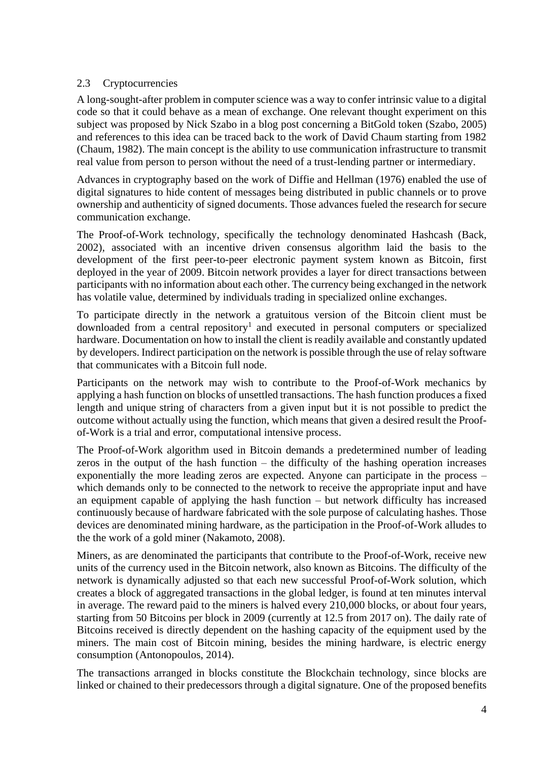## 2.3 Cryptocurrencies

A long-sought-after problem in computer science was a way to confer intrinsic value to a digital code so that it could behave as a mean of exchange. One relevant thought experiment on this subject was proposed by Nick Szabo in a blog post concerning a BitGold token (Szabo, 2005) and references to this idea can be traced back to the work of David Chaum starting from 1982 (Chaum, 1982). The main concept is the ability to use communication infrastructure to transmit real value from person to person without the need of a trust-lending partner or intermediary.

Advances in cryptography based on the work of Diffie and Hellman (1976) enabled the use of digital signatures to hide content of messages being distributed in public channels or to prove ownership and authenticity of signed documents. Those advances fueled the research for secure communication exchange.

The Proof-of-Work technology, specifically the technology denominated Hashcash (Back, 2002), associated with an incentive driven consensus algorithm laid the basis to the development of the first peer-to-peer electronic payment system known as Bitcoin, first deployed in the year of 2009. Bitcoin network provides a layer for direct transactions between participants with no information about each other. The currency being exchanged in the network has volatile value, determined by individuals trading in specialized online exchanges.

To participate directly in the network a gratuitous version of the Bitcoin client must be downloaded from a central repository<sup>1</sup> and executed in personal computers or specialized hardware. Documentation on how to install the client is readily available and constantly updated by developers. Indirect participation on the network is possible through the use of relay software that communicates with a Bitcoin full node.

Participants on the network may wish to contribute to the Proof-of-Work mechanics by applying a hash function on blocks of unsettled transactions. The hash function produces a fixed length and unique string of characters from a given input but it is not possible to predict the outcome without actually using the function, which means that given a desired result the Proofof-Work is a trial and error, computational intensive process.

The Proof-of-Work algorithm used in Bitcoin demands a predetermined number of leading zeros in the output of the hash function – the difficulty of the hashing operation increases exponentially the more leading zeros are expected. Anyone can participate in the process – which demands only to be connected to the network to receive the appropriate input and have an equipment capable of applying the hash function – but network difficulty has increased continuously because of hardware fabricated with the sole purpose of calculating hashes. Those devices are denominated mining hardware, as the participation in the Proof-of-Work alludes to the the work of a gold miner (Nakamoto, 2008).

Miners, as are denominated the participants that contribute to the Proof-of-Work, receive new units of the currency used in the Bitcoin network, also known as Bitcoins. The difficulty of the network is dynamically adjusted so that each new successful Proof-of-Work solution, which creates a block of aggregated transactions in the global ledger, is found at ten minutes interval in average. The reward paid to the miners is halved every 210,000 blocks, or about four years, starting from 50 Bitcoins per block in 2009 (currently at 12.5 from 2017 on). The daily rate of Bitcoins received is directly dependent on the hashing capacity of the equipment used by the miners. The main cost of Bitcoin mining, besides the mining hardware, is electric energy consumption (Antonopoulos, 2014).

The transactions arranged in blocks constitute the Blockchain technology, since blocks are linked or chained to their predecessors through a digital signature. One of the proposed benefits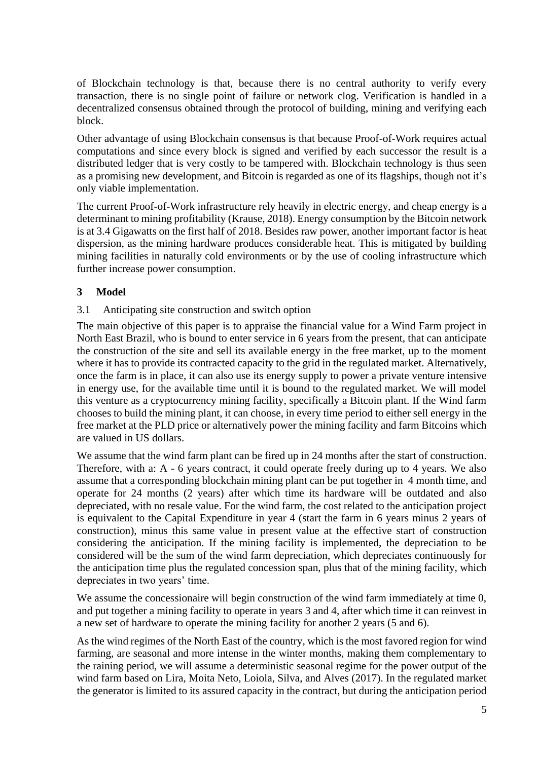of Blockchain technology is that, because there is no central authority to verify every transaction, there is no single point of failure or network clog. Verification is handled in a decentralized consensus obtained through the protocol of building, mining and verifying each block.

Other advantage of using Blockchain consensus is that because Proof-of-Work requires actual computations and since every block is signed and verified by each successor the result is a distributed ledger that is very costly to be tampered with. Blockchain technology is thus seen as a promising new development, and Bitcoin is regarded as one of its flagships, though not it's only viable implementation.

The current Proof-of-Work infrastructure rely heavily in electric energy, and cheap energy is a determinant to mining profitability (Krause, 2018). Energy consumption by the Bitcoin network is at 3.4 Gigawatts on the first half of 2018. Besides raw power, another important factor is heat dispersion, as the mining hardware produces considerable heat. This is mitigated by building mining facilities in naturally cold environments or by the use of cooling infrastructure which further increase power consumption.

# **3 Model**

## 3.1 Anticipating site construction and switch option

The main objective of this paper is to appraise the financial value for a Wind Farm project in North East Brazil, who is bound to enter service in 6 years from the present, that can anticipate the construction of the site and sell its available energy in the free market, up to the moment where it has to provide its contracted capacity to the grid in the regulated market. Alternatively, once the farm is in place, it can also use its energy supply to power a private venture intensive in energy use, for the available time until it is bound to the regulated market. We will model this venture as a cryptocurrency mining facility, specifically a Bitcoin plant. If the Wind farm chooses to build the mining plant, it can choose, in every time period to either sell energy in the free market at the PLD price or alternatively power the mining facility and farm Bitcoins which are valued in US dollars.

We assume that the wind farm plant can be fired up in 24 months after the start of construction. Therefore, with a: A - 6 years contract, it could operate freely during up to 4 years. We also assume that a corresponding blockchain mining plant can be put together in 4 month time, and operate for 24 months (2 years) after which time its hardware will be outdated and also depreciated, with no resale value. For the wind farm, the cost related to the anticipation project is equivalent to the Capital Expenditure in year 4 (start the farm in 6 years minus 2 years of construction), minus this same value in present value at the effective start of construction considering the anticipation. If the mining facility is implemented, the depreciation to be considered will be the sum of the wind farm depreciation, which depreciates continuously for the anticipation time plus the regulated concession span, plus that of the mining facility, which depreciates in two years' time.

We assume the concessionaire will begin construction of the wind farm immediately at time 0, and put together a mining facility to operate in years 3 and 4, after which time it can reinvest in a new set of hardware to operate the mining facility for another 2 years (5 and 6).

As the wind regimes of the North East of the country, which is the most favored region for wind farming, are seasonal and more intense in the winter months, making them complementary to the raining period, we will assume a deterministic seasonal regime for the power output of the wind farm based on Lira, Moita Neto, Loiola, Silva, and Alves (2017). In the regulated market the generator is limited to its assured capacity in the contract, but during the anticipation period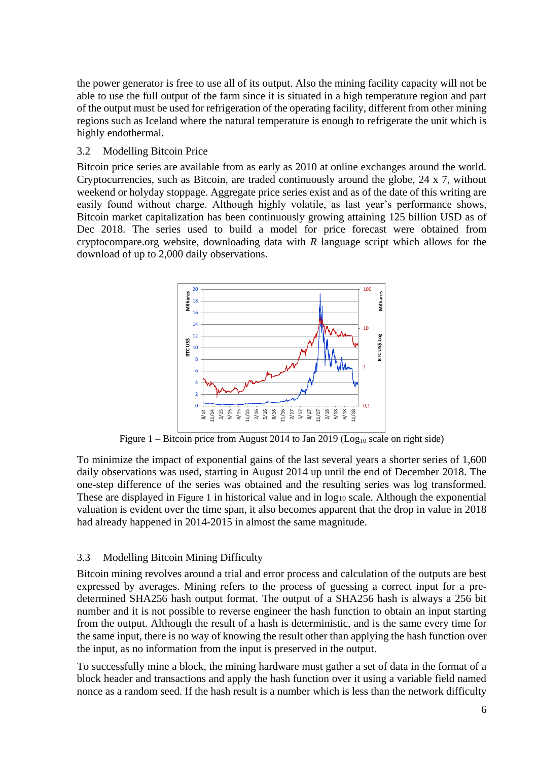the power generator is free to use all of its output. Also the mining facility capacity will not be able to use the full output of the farm since it is situated in a high temperature region and part of the output must be used for refrigeration of the operating facility, different from other mining regions such as Iceland where the natural temperature is enough to refrigerate the unit which is highly endothermal.

## 3.2 Modelling Bitcoin Price

Bitcoin price series are available from as early as 2010 at online exchanges around the world. Cryptocurrencies, such as Bitcoin, are traded continuously around the globe, 24 x 7, without weekend or holyday stoppage. Aggregate price series exist and as of the date of this writing are easily found without charge. Although highly volatile, as last year's performance shows, Bitcoin market capitalization has been continuously growing attaining 125 billion USD as of Dec 2018. The series used to build a model for price forecast were obtained from cryptocompare.org website, downloading data with *R* language script which allows for the download of up to 2,000 daily observations.



Figure  $1 - B$ itcoin price from August 2014 to Jan 2019 (Log<sub>10</sub> scale on right side)

<span id="page-5-0"></span>To minimize the impact of exponential gains of the last several years a shorter series of 1,600 daily observations was used, starting in August 2014 up until the end of December 2018. The one-step difference of the series was obtained and the resulting series was log transformed. These are displayed in [Figure 1](#page-5-0) in historical value and in  $log_{10}$  scale. Although the exponential valuation is evident over the time span, it also becomes apparent that the drop in value in 2018 had already happened in 2014-2015 in almost the same magnitude.

# 3.3 Modelling Bitcoin Mining Difficulty

Bitcoin mining revolves around a trial and error process and calculation of the outputs are best expressed by averages. Mining refers to the process of guessing a correct input for a predetermined SHA256 hash output format. The output of a SHA256 hash is always a 256 bit number and it is not possible to reverse engineer the hash function to obtain an input starting from the output. Although the result of a hash is deterministic, and is the same every time for the same input, there is no way of knowing the result other than applying the hash function over the input, as no information from the input is preserved in the output.

To successfully mine a block, the mining hardware must gather a set of data in the format of a block header and transactions and apply the hash function over it using a variable field named nonce as a random seed. If the hash result is a number which is less than the network difficulty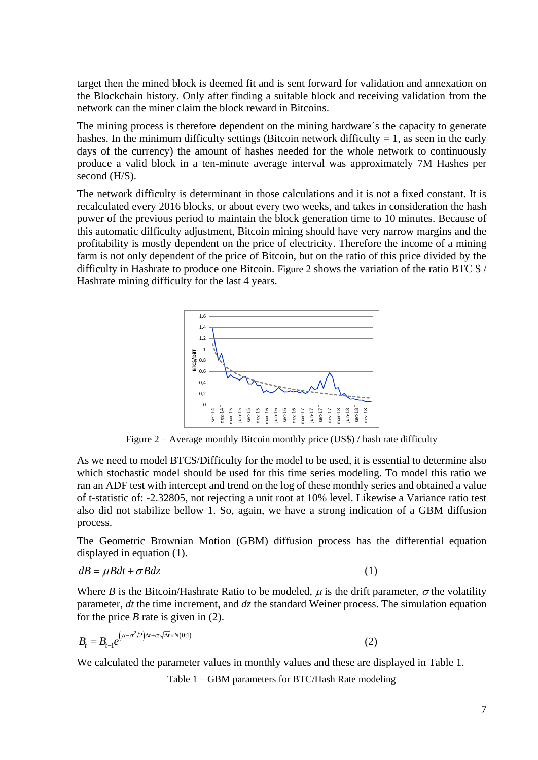target then the mined block is deemed fit and is sent forward for validation and annexation on the Blockchain history. Only after finding a suitable block and receiving validation from the network can the miner claim the block reward in Bitcoins.

The mining process is therefore dependent on the mining hardware´s the capacity to generate hashes. In the minimum difficulty settings (Bitcoin network difficulty  $= 1$ , as seen in the early days of the currency) the amount of hashes needed for the whole network to continuously produce a valid block in a ten-minute average interval was approximately 7M Hashes per second (H/S).

The network difficulty is determinant in those calculations and it is not a fixed constant. It is recalculated every 2016 blocks, or about every two weeks, and takes in consideration the hash power of the previous period to maintain the block generation time to 10 minutes. Because of this automatic difficulty adjustment, Bitcoin mining should have very narrow margins and the profitability is mostly dependent on the price of electricity. Therefore the income of a mining farm is not only dependent of the price of Bitcoin, but on the ratio of this price divided by the difficulty in Hashrate to produce one Bitcoin. [Figure 2](#page-6-0) shows the variation of the ratio BTC \$ / Hashrate mining difficulty for the last 4 years.



Figure 2 – Average monthly Bitcoin monthly price (US\$) / hash rate difficulty

<span id="page-6-0"></span>As we need to model BTC\$/Difficulty for the model to be used, it is essential to determine also which stochastic model should be used for this time series modeling. To model this ratio we ran an ADF test with intercept and trend on the log of these monthly series and obtained a value of t-statistic of: -2.32805, not rejecting a unit root at 10% level. Likewise a Variance ratio test also did not stabilize bellow 1. So, again, we have a strong indication of a GBM diffusion process.

The Geometric Brownian Motion (GBM) diffusion process has the differential equation displayed in equation (1).

$$
dB = \mu Bdt + \sigma Bdz
$$

(1)

(2)

Where *B* is the Bitcoin/Hashrate Ratio to be modeled,  $\mu$  is the drift parameter,  $\sigma$  the volatility parameter, *dt* the time increment, and *dz* the standard Weiner process. The simulation equation for the price *B* rate is given in (2).

$$
B_t = B_{t-1} e^{(\mu - \sigma^2/2) \Delta t + \sigma \sqrt{\Delta t} \times N(0,1)}
$$

<span id="page-6-1"></span>We calculated the parameter values in monthly values and these are displayed in Table 1.

Table 1 – GBM parameters for BTC/Hash Rate modeling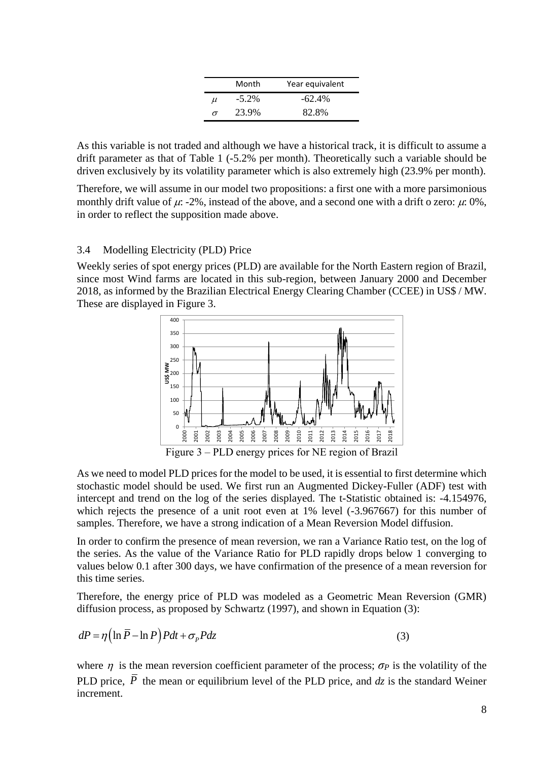|       | Month    | Year equivalent |
|-------|----------|-----------------|
| $\mu$ | $-5.2\%$ | $-62.4\%$       |
| σ     | 23.9%    | 82.8%           |

As this variable is not traded and although we have a historical track, it is difficult to assume a drift parameter as that of [Table 1](#page-6-1) (-5.2% per month). Theoretically such a variable should be driven exclusively by its volatility parameter which is also extremely high (23.9% per month).

Therefore, we will assume in our model two propositions: a first one with a more parsimonious monthly drift value of  $\mu$ : -2%, instead of the above, and a second one with a drift o zero:  $\mu$ : 0%, in order to reflect the supposition made above.

#### 3.4 Modelling Electricity (PLD) Price

Weekly series of spot energy prices (PLD) are available for the North Eastern region of Brazil, since most Wind farms are located in this sub-region, between January 2000 and December 2018, as informed by the Brazilian Electrical Energy Clearing Chamber (CCEE) in US\$ / MW. These are displayed in Figure 3.



Figure 3 – PLD energy prices for NE region of Brazil

<span id="page-7-0"></span>As we need to model PLD prices for the model to be used, it is essential to first determine which stochastic model should be used. We first run an Augmented Dickey-Fuller (ADF) test with intercept and trend on the log of the series displayed. The t-Statistic obtained is: -4.154976, which rejects the presence of a unit root even at 1% level (-3.967667) for this number of samples. Therefore, we have a strong indication of a Mean Reversion Model diffusion.

In order to confirm the presence of mean reversion, we ran a Variance Ratio test, on the log of the series. As the value of the Variance Ratio for PLD rapidly drops below 1 converging to values below 0.1 after 300 days, we have confirmation of the presence of a mean reversion for this time series.

Therefore, the energy price of PLD was modeled as a Geometric Mean Reversion (GMR) diffusion process, as proposed by Schwartz (1997), and shown in Equation (3):

$$
dP = \eta \left( \ln \overline{P} - \ln P \right) P dt + \sigma_P P dz \tag{3}
$$

where  $\eta$  is the mean reversion coefficient parameter of the process;  $\sigma_p$  is the volatility of the PLD price,  $P$  the mean or equilibrium level of the PLD price, and  $dz$  is the standard Weiner increment.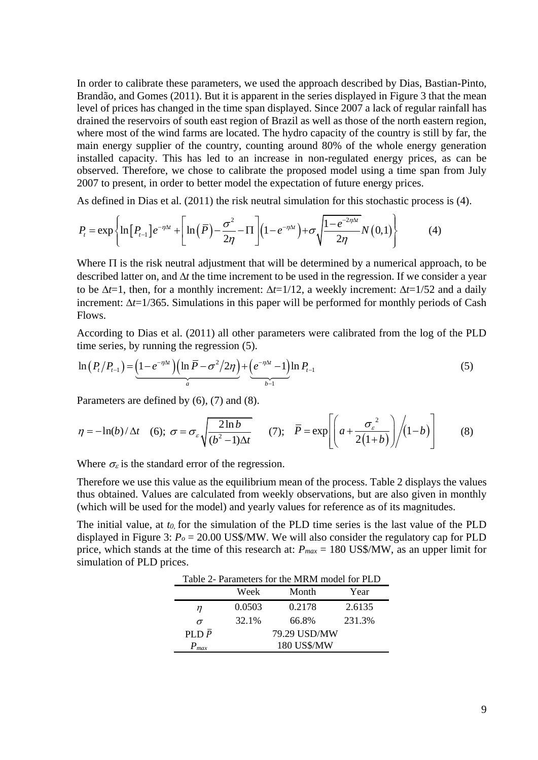In order to calibrate these parameters, we used the approach described by Dias, Bastian-Pinto, Brandão, and Gomes (2011). But it is apparent in the series displayed in [Figure 3](#page-7-0) that the mean level of prices has changed in the time span displayed. Since 2007 a lack of regular rainfall has drained the reservoirs of south east region of Brazil as well as those of the north eastern region, where most of the wind farms are located. The hydro capacity of the country is still by far, the main energy supplier of the country, counting around 80% of the whole energy generation installed capacity. This has led to an increase in non-regulated energy prices, as can be observed. Therefore, we chose to calibrate the proposed model using a time span from July 2007 to present, in order to better model the expectation of future energy prices.

2007 to present, in order to better model the expectation of future energy prices.  
As defined in Dias et al. (2011) the risk neutral simulation for this stochastic process is (4).  

$$
P_t = \exp\left\{\ln[P_{t-1}]e^{-\eta\Delta t} + \left[\ln(\overline{P}) - \frac{\sigma^2}{2\eta} - \Pi\right](1 - e^{-\eta\Delta t}) + \sigma\sqrt{\frac{1 - e^{-2\eta\Delta t}}{2\eta}}N(0,1)\right\}
$$
(4)

Where  $\Pi$  is the risk neutral adjustment that will be determined by a numerical approach, to be described latter on, and  $\Delta t$  the time increment to be used in the regression. If we consider a year to be  $\Delta t = 1$ , then, for a monthly increment:  $\Delta t = 1/12$ , a weekly increment:  $\Delta t = 1/52$  and a daily increment:  $\Delta t = 1/365$ . Simulations in this paper will be performed for monthly periods of Cash Flows.

According to Dias et al. (2011) all other parameters were calibrated from the log of the PLD

time series, by running the regression (5).  
\n
$$
\ln(P_t/P_{t-1}) = \underbrace{(1 - e^{-\eta \Delta t})(\ln \overline{P} - \sigma^2/2\eta)}_{a} + \underbrace{(e^{-\eta \Delta t} - 1)}_{b-1} \ln P_{t-1}
$$
\n(5)

Parameters are defined by (6), (7) and (8).

$$
\eta = -\ln(b)/\Delta t \quad (6); \ \sigma = \sigma_{\varepsilon} \sqrt{\frac{2\ln b}{(b^2 - 1)\Delta t}} \quad (7); \quad \overline{P} = \exp\left[\left(a + \frac{\sigma_{\varepsilon}^2}{2(1+b)}\right)/(1-b)\right] \quad (8)
$$

Where  $\sigma_{\varepsilon}$  is the standard error of the regression.

Therefore we use this value as the equilibrium mean of the process. Table 2 displays the values thus obtained. Values are calculated from weekly observations, but are also given in monthly (which will be used for the model) and yearly values for reference as of its magnitudes.

The initial value, at *t0,* for the simulation of the PLD time series is the last value of the PLD displayed in [Figure 3:](#page-7-0) *P<sup>o</sup>* = 20.00 US\$/MW. We will also consider the regulatory cap for PLD price, which stands at the time of this research at: *Pmax* = 180 US\$/MW, as an upper limit for simulation of PLD prices.

| Table 2- Parameters for the MRM model for PLD |              |        |        |  |  |
|-----------------------------------------------|--------------|--------|--------|--|--|
|                                               | Week         | Month  | Year   |  |  |
| п                                             | 0.0503       | 0.2178 | 2.6135 |  |  |
| $\sigma$                                      | 32.1%        | 66.8%  | 231.3% |  |  |
| PLD $\bar{P}$                                 | 79.29 USD/MW |        |        |  |  |
| $P_{max}$                                     | 180 US\$/MW  |        |        |  |  |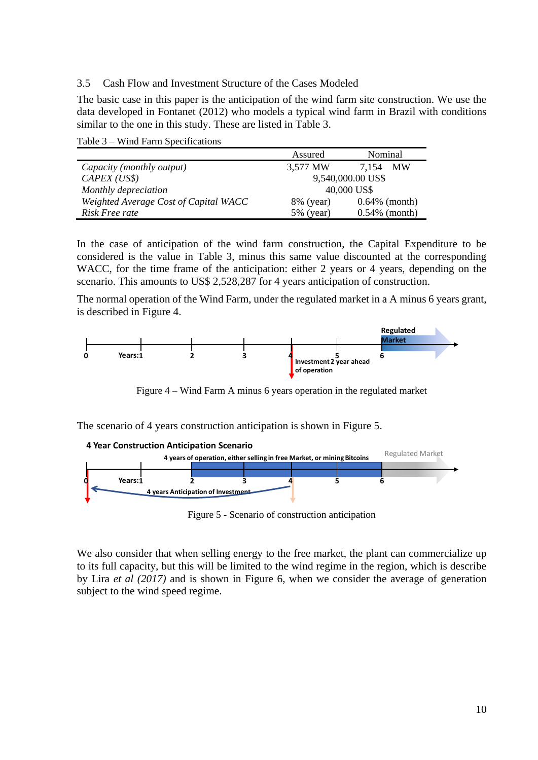3.5 Cash Flow and Investment Structure of the Cases Modeled

The basic case in this paper is the anticipation of the wind farm site construction. We use the data developed in Fontanet (2012) who models a typical wind farm in Brazil with conditions similar to the one in this study. These are listed in Table 3.

Table 3 – Wind Farm Specifications

|                                       | Assured           | Nominal          |  |
|---------------------------------------|-------------------|------------------|--|
| Capacity (monthly output)             | 3,577 MW          | 7.154 MW         |  |
| CAPEX (USS)                           | 9,540,000.00 US\$ |                  |  |
| Monthly depreciation                  | 40,000 US\$       |                  |  |
| Weighted Average Cost of Capital WACC | $8\%$ (year)      | $0.64\%$ (month) |  |
| Risk Free rate                        | $5\%$ (year)      | $0.54\%$ (month) |  |

In the case of anticipation of the wind farm construction, the Capital Expenditure to be considered is the value in Table 3, minus this same value discounted at the corresponding WACC, for the time frame of the anticipation: either 2 years or 4 years, depending on the scenario. This amounts to US\$ 2,528,287 for 4 years anticipation of construction.

The normal operation of the Wind Farm, under the regulated market in a A minus 6 years grant, is described in Figure 4.



Figure 4 – Wind Farm A minus 6 years operation in the regulated market

The scenario of 4 years construction anticipation is shown in Figure 5.



Figure 5 - Scenario of construction anticipation

We also consider that when selling energy to the free market, the plant can commercialize up to its full capacity, but this will be limited to the wind regime in the region, which is describe by Lira *et al (2017)* and is shown in Figure 6, when we consider the average of generation subject to the wind speed regime.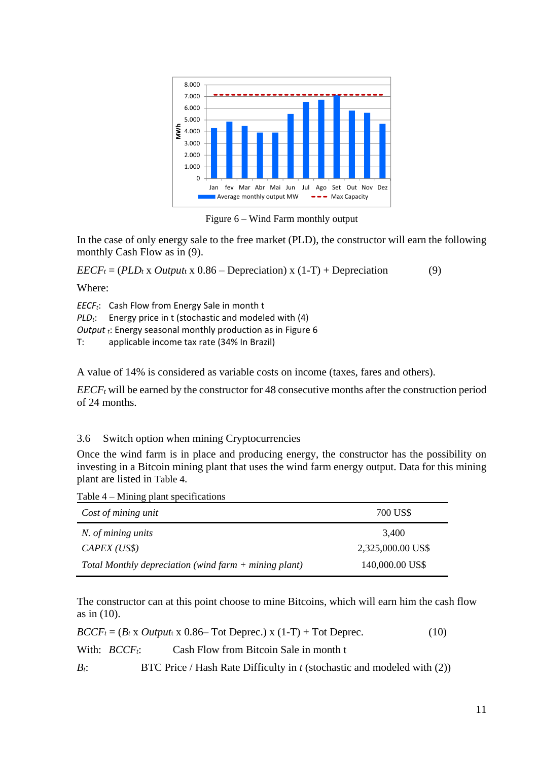

Figure 6 – Wind Farm monthly output

In the case of only energy sale to the free market (PLD), the constructor will earn the following monthly Cash Flow as in (9).

 $EECF_t = (PLD_t \times Output \times 0.86 - Depreciation) \times (1-T) + Depreciation$  (9)

Where:

*EECFt*: Cash Flow from Energy Sale in month t *PLDt*: Energy price in t (stochastic and modeled with (4) *Output <sup>t</sup>*: Energy seasonal monthly production as in Figure 6 T: applicable income tax rate (34% In Brazil)

A value of 14% is considered as variable costs on income (taxes, fares and others).

*EECF<sub>t</sub>* will be earned by the constructor for 48 consecutive months after the construction period of 24 months.

### 3.6 Switch option when mining Cryptocurrencies

Once the wind farm is in place and producing energy, the constructor has the possibility on investing in a Bitcoin mining plant that uses the wind farm energy output. Data for this mining plant are listed in [Table 4](#page-10-0).

<span id="page-10-0"></span>Table 4 – Mining plant specifications

| Cost of mining unit                                     | 700 US\$          |
|---------------------------------------------------------|-------------------|
| N. of mining units                                      | 3.400             |
| CAPEX (USS)                                             | 2,325,000.00 US\$ |
| Total Monthly depreciation (wind farm $+$ mining plant) | 140,000.00 US\$   |

The constructor can at this point choose to mine Bitcoins, which will earn him the cash flow as in (10).

 $BCCF_t = (B_t \times Output_t \times 0.86$ – Tot Deprec.) x (1-T) + Tot Deprec. (10)

With: *BCCF<sub>t</sub>*: Cash Flow from Bitcoin Sale in month t

*B<sub>t</sub>*: BTC Price / Hash Rate Difficulty in *t* (stochastic and modeled with (2))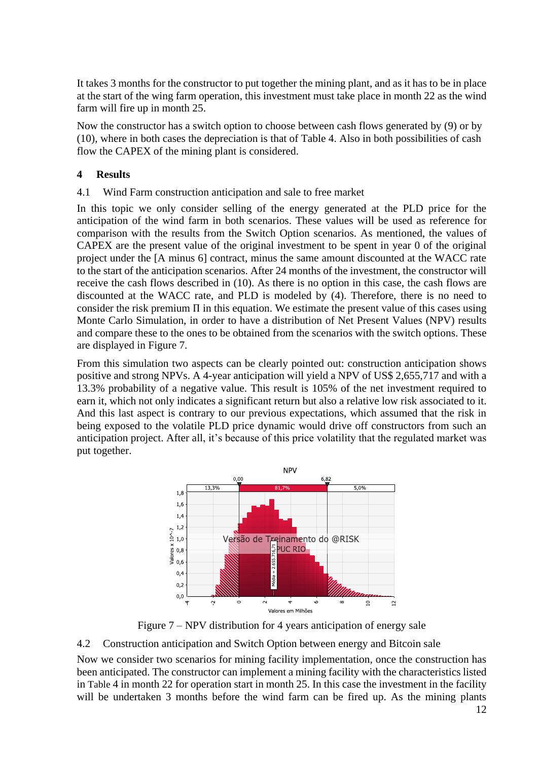It takes 3 months for the constructor to put together the mining plant, and as it has to be in place at the start of the wing farm operation, this investment must take place in month 22 as the wind farm will fire up in month 25.

Now the constructor has a switch option to choose between cash flows generated by (9) or by (10), where in both cases the depreciation is that of Table 4. Also in both possibilities of cash flow the CAPEX of the mining plant is considered.

## **4 Results**

#### 4.1 Wind Farm construction anticipation and sale to free market

In this topic we only consider selling of the energy generated at the PLD price for the anticipation of the wind farm in both scenarios. These values will be used as reference for comparison with the results from the Switch Option scenarios. As mentioned, the values of CAPEX are the present value of the original investment to be spent in year 0 of the original project under the [A minus 6] contract, minus the same amount discounted at the WACC rate to the start of the anticipation scenarios. After 24 months of the investment, the constructor will receive the cash flows described in (10). As there is no option in this case, the cash flows are discounted at the WACC rate, and PLD is modeled by (4). Therefore, there is no need to consider the risk premium Π in this equation. We estimate the present value of this cases using Monte Carlo Simulation, in order to have a distribution of Net Present Values (NPV) results and compare these to the ones to be obtained from the scenarios with the switch options. These are displayed in Figure 7.

From this simulation two aspects can be clearly pointed out: construction anticipation shows positive and strong NPVs. A 4-year anticipation will yield a NPV of US\$ 2,655,717 and with a 13.3% probability of a negative value. This result is 105% of the net investment required to earn it, which not only indicates a significant return but also a relative low risk associated to it. And this last aspect is contrary to our previous expectations, which assumed that the risk in being exposed to the volatile PLD price dynamic would drive off constructors from such an anticipation project. After all, it's because of this price volatility that the regulated market was put together.



Figure 7 – NPV distribution for 4 years anticipation of energy sale

### 4.2 Construction anticipation and Switch Option between energy and Bitcoin sale

Now we consider two scenarios for mining facility implementation, once the construction has been anticipated. The constructor can implement a mining facility with the characteristics listed in [Table](#page-10-0) 4 in month 22 for operation start in month 25. In this case the investment in the facility will be undertaken 3 months before the wind farm can be fired up. As the mining plants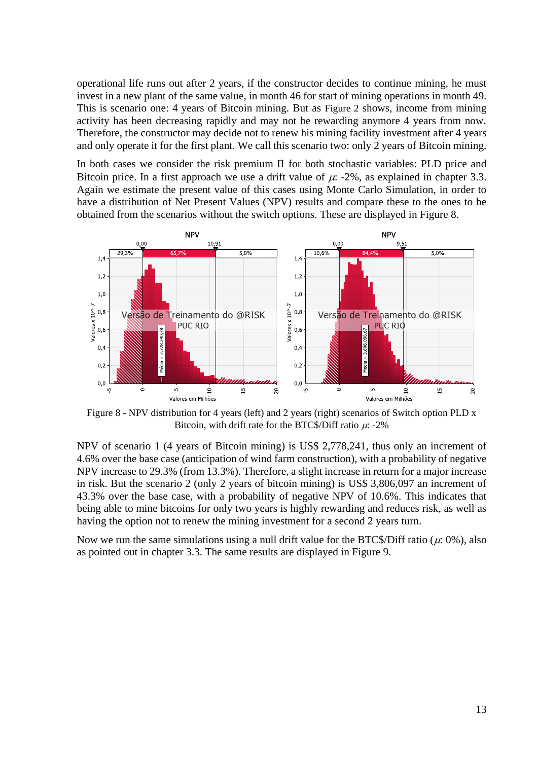operational life runs out after 2 years, if the constructor decides to continue mining, he must invest in a new plant of the same value, in month 46 for start of mining operations in month 49. This is scenario one: 4 years of Bitcoin mining. But as [Figure 2](#page-6-0) shows, income from mining activity has been decreasing rapidly and may not be rewarding anymore 4 years from now. Therefore, the constructor may decide not to renew his mining facility investment after 4 years and only operate it for the first plant. We call this scenario two: only 2 years of Bitcoin mining.

In both cases we consider the risk premium Π for both stochastic variables: PLD price and Bitcoin price. In a first approach we use a drift value of  $\mu$ : -2%, as explained in chapter 3.3. Again we estimate the present value of this cases using Monte Carlo Simulation, in order to have a distribution of Net Present Values (NPV) results and compare these to the ones to be obtained from the scenarios without the switch options. These are displayed in Figure 8.



Figure 8 - NPV distribution for 4 years (left) and 2 years (right) scenarios of Switch option PLD x Bitcoin, with drift rate for the BTC\$/Diff ratio  $\mu$ : -2%

NPV of scenario 1 (4 years of Bitcoin mining) is US\$ 2,778,241, thus only an increment of 4.6% over the base case (anticipation of wind farm construction), with a probability of negative NPV increase to 29.3% (from 13.3%). Therefore, a slight increase in return for a major increase in risk. But the scenario 2 (only 2 years of bitcoin mining) is US\$ 3,806,097 an increment of 43.3% over the base case, with a probability of negative NPV of 10.6%. This indicates that being able to mine bitcoins for only two years is highly rewarding and reduces risk, as well as having the option not to renew the mining investment for a second 2 years turn.

Now we run the same simulations using a null drift value for the BTC\$/Diff ratio ( $\mu$ : 0%), also as pointed out in chapter 3.3. The same results are displayed in Figure 9.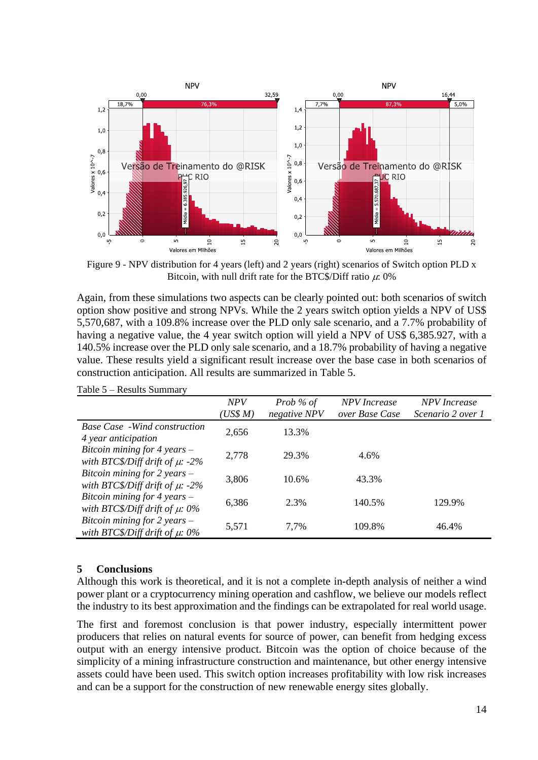

Figure 9 - NPV distribution for 4 years (left) and 2 years (right) scenarios of Switch option PLD x Bitcoin, with null drift rate for the BTC\$/Diff ratio  $\mu$ : 0%

Again, from these simulations two aspects can be clearly pointed out: both scenarios of switch option show positive and strong NPVs. While the 2 years switch option yields a NPV of US\$ 5,570,687, with a 109.8% increase over the PLD only sale scenario, and a 7.7% probability of having a negative value, the 4 year switch option will yield a NPV of US\$ 6,385.927, with a 140.5% increase over the PLD only sale scenario, and a 18.7% probability of having a negative value. These results yield a significant result increase over the base case in both scenarios of construction anticipation. All results are summarized in Table 5.

|                                                                          | <b>NPV</b><br>(US\$M) | Prob % of<br>negative NPV | <b>NPV</b> Increase<br>over Base Case | <b>NPV</b> Increase<br>Scenario 2 over 1 |
|--------------------------------------------------------------------------|-----------------------|---------------------------|---------------------------------------|------------------------------------------|
| <b>Base Case</b> - Wind construction<br>4 year anticipation              | 2,656                 | 13.3%                     |                                       |                                          |
| Bitcoin mining for $4$ years $-$<br>with BTC\$/Diff drift of $\mu$ : -2% | 2,778                 | 29.3%                     | 4.6%                                  |                                          |
| Bitcoin mining for 2 years $-$<br>with BTC\$/Diff drift of $\mu$ : -2%   | 3,806                 | 10.6%                     | 43.3%                                 |                                          |
| Bitcoin mining for 4 years $-$<br>with BTC\$/Diff drift of $\mu$ : 0%    | 6,386                 | 2.3%                      | 140.5%                                | 129.9%                                   |
| Bitcoin mining for 2 years $-$<br>with BTC\$/Diff drift of $\mu$ : 0%    | 5,571                 | 7.7%                      | 109.8%                                | 46.4%                                    |

Table 5 – Results Summary

#### **5 Conclusions**

Although this work is theoretical, and it is not a complete in-depth analysis of neither a wind power plant or a cryptocurrency mining operation and cashflow, we believe our models reflect the industry to its best approximation and the findings can be extrapolated for real world usage.

The first and foremost conclusion is that power industry, especially intermittent power producers that relies on natural events for source of power, can benefit from hedging excess output with an energy intensive product. Bitcoin was the option of choice because of the simplicity of a mining infrastructure construction and maintenance, but other energy intensive assets could have been used. This switch option increases profitability with low risk increases and can be a support for the construction of new renewable energy sites globally.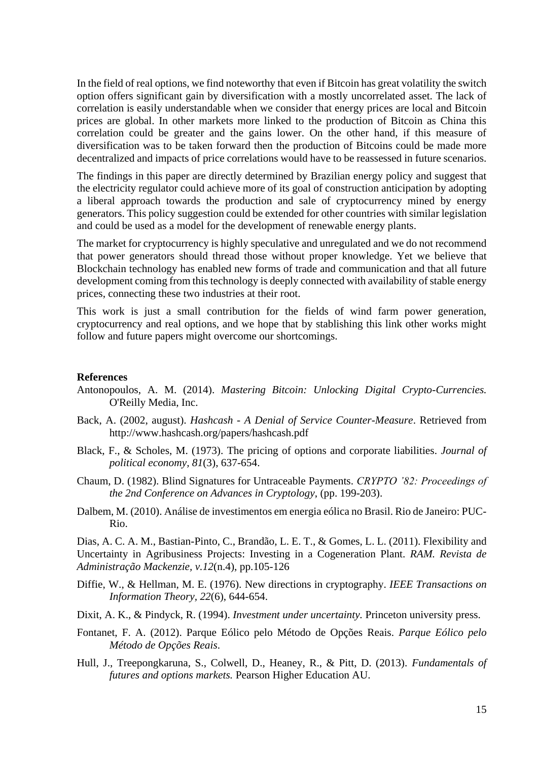In the field of real options, we find noteworthy that even if Bitcoin has great volatility the switch option offers significant gain by diversification with a mostly uncorrelated asset. The lack of correlation is easily understandable when we consider that energy prices are local and Bitcoin prices are global. In other markets more linked to the production of Bitcoin as China this correlation could be greater and the gains lower. On the other hand, if this measure of diversification was to be taken forward then the production of Bitcoins could be made more decentralized and impacts of price correlations would have to be reassessed in future scenarios.

The findings in this paper are directly determined by Brazilian energy policy and suggest that the electricity regulator could achieve more of its goal of construction anticipation by adopting a liberal approach towards the production and sale of cryptocurrency mined by energy generators. This policy suggestion could be extended for other countries with similar legislation and could be used as a model for the development of renewable energy plants.

The market for cryptocurrency is highly speculative and unregulated and we do not recommend that power generators should thread those without proper knowledge. Yet we believe that Blockchain technology has enabled new forms of trade and communication and that all future development coming from this technology is deeply connected with availability of stable energy prices, connecting these two industries at their root.

This work is just a small contribution for the fields of wind farm power generation, cryptocurrency and real options, and we hope that by stablishing this link other works might follow and future papers might overcome our shortcomings.

#### **References**

- Antonopoulos, A. M. (2014). *Mastering Bitcoin: Unlocking Digital Crypto-Currencies.* O'Reilly Media, Inc.
- Back, A. (2002, august). *Hashcash - A Denial of Service Counter-Measure*. Retrieved from http://www.hashcash.org/papers/hashcash.pdf
- Black, F., & Scholes, M. (1973). The pricing of options and corporate liabilities. *Journal of political economy, 81*(3), 637-654.
- Chaum, D. (1982). Blind Signatures for Untraceable Payments. *CRYPTO '82: Proceedings of the 2nd Conference on Advances in Cryptology*, (pp. 199-203).
- Dalbem, M. (2010). Análise de investimentos em energia eólica no Brasil. Rio de Janeiro: PUC-Rio.

Dias, A. C. A. M., Bastian-Pinto, C., Brandão, L. E. T., & Gomes, L. L. (2011). Flexibility and Uncertainty in Agribusiness Projects: Investing in a Cogeneration Plant. *RAM. Revista de Administração Mackenzie, v.12*(n.4), pp.105-126

- Diffie, W., & Hellman, M. E. (1976). New directions in cryptography. *IEEE Transactions on Information Theory, 22*(6), 644-654.
- Dixit, A. K., & Pindyck, R. (1994). *Investment under uncertainty.* Princeton university press.
- Fontanet, F. A. (2012). Parque Eólico pelo Método de Opções Reais. *Parque Eólico pelo Método de Opções Reais*.
- Hull, J., Treepongkaruna, S., Colwell, D., Heaney, R., & Pitt, D. (2013). *Fundamentals of futures and options markets.* Pearson Higher Education AU.